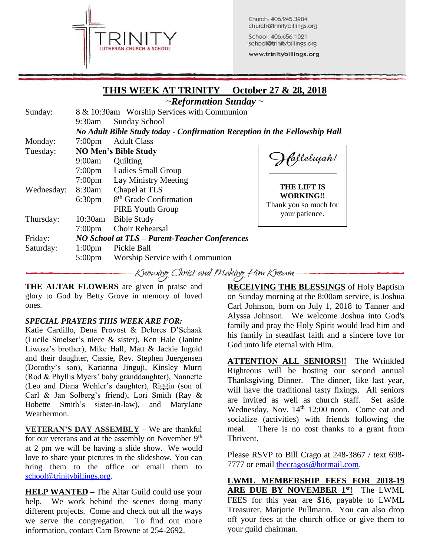

Church: 406.245.3984 church@trinitybillings.org

School: 406.656.1021 school@trinitybillings.org www.trinitybillings.org

### **THIS WEEK AT TRINITY October 27 & 28, 2018**

|                        |                    | $\sim$ Reformation Sunday $\sim$                                           |                                                                                                  |
|------------------------|--------------------|----------------------------------------------------------------------------|--------------------------------------------------------------------------------------------------|
| Sunday:                |                    | 8 & 10:30am Worship Services with Communion                                |                                                                                                  |
|                        | $9:30$ am          | <b>Sunday School</b>                                                       |                                                                                                  |
|                        |                    | No Adult Bible Study today - Confirmation Reception in the Fellowship Hall |                                                                                                  |
| Monday:                | $7:00 \text{pm}$   | <b>Adult Class</b>                                                         |                                                                                                  |
| Tuesday:<br>Wednesday: |                    | <b>NO Men's Bible Study</b>                                                |                                                                                                  |
|                        | 9:00am             | Quilting                                                                   | fallelujah!<br><b>THE LIFT IS</b><br><b>WORKING!!</b><br>Thank you so much for<br>your patience. |
|                        | $7:00 \text{pm}$   | Ladies Small Group                                                         |                                                                                                  |
|                        | $7:00 \text{pm}$   | Lay Ministry Meeting                                                       |                                                                                                  |
|                        | 8:30am             | Chapel at TLS                                                              |                                                                                                  |
|                        | 6:30 <sub>pm</sub> | 8 <sup>th</sup> Grade Confirmation                                         |                                                                                                  |
|                        |                    | <b>FIRE Youth Group</b>                                                    |                                                                                                  |
| Thursday:              | 10:30am            | <b>Bible Study</b>                                                         |                                                                                                  |
|                        | 7:00 <sub>pm</sub> | Choir Rehearsal                                                            |                                                                                                  |
| Friday:                |                    | NO School at TLS - Parent-Teacher Conferences                              |                                                                                                  |
| Saturday:              | 1:00 <sub>pm</sub> | Pickle Ball                                                                |                                                                                                  |
|                        | $5:00 \text{pm}$   | Worship Service with Communion                                             |                                                                                                  |

Knowing Christ and Making Him Known

**THE ALTAR FLOWERS** are given in praise and glory to God by Betty Grove in memory of loved ones.

#### *SPECIAL PRAYERS THIS WEEK ARE FOR:*

Katie Cardillo, Dena Provost & Delores D'Schaak (Lucile Smelser's niece & sister), Ken Hale (Janine Liwosz's brother), Mike Hall, Matt & Jackie Ingold and their daughter, Cassie, Rev. Stephen Juergensen (Dorothy's son), Karianna Jinguji, Kinsley Murri (Rod & Phyllis Myers' baby granddaughter), Nannette (Leo and Diana Wohler's daughter), Riggin (son of Carl & Jan Solberg's friend), Lori Smith (Ray & Bobette Smith's sister-in-law), and MaryJane Weathermon.

**VETERAN'S DAY ASSEMBLY –** We are thankful for our veterans and at the assembly on November  $9<sup>th</sup>$ at 2 pm we will be having a slide show. We would love to share your pictures in the slideshow. You can bring them to the office or email them to [school@trinitybillings.org.](mailto:school@trinitybillings.org)

**HELP WANTED –** The Altar Guild could use your help. We work behind the scenes doing many different projects. Come and check out all the ways we serve the congregation. To find out more information, contact Cam Browne at 254-2692.

**RECEIVING THE BLESSINGS** of Holy Baptism on Sunday morning at the 8:00am service, is Joshua Carl Johnson, born on July 1, 2018 to Tanner and Alyssa Johnson. We welcome Joshua into God's family and pray the Holy Spirit would lead him and his family in steadfast faith and a sincere love for God unto life eternal with Him.

**ATTENTION ALL SENIORS!!** The Wrinkled Righteous will be hosting our second annual Thanksgiving Dinner. The dinner, like last year, will have the traditional tasty fixings. All seniors are invited as well as church staff. Set aside Wednesday, Nov. 14<sup>th</sup> 12:00 noon. Come eat and socialize (activities) with friends following the meal. There is no cost thanks to a grant from Thrivent.

Please RSVP to Bill Crago at 248-3867 / text 698- 7777 or email the cragos@hotmail.com.

**LWML MEMBERSHIP FEES FOR 2018-19 ARE DUE BY NOVEMBER 1st!** The LWML FEES for this year are \$16, payable to LWML Treasurer, Marjorie Pullmann. You can also drop off your fees at the church office or give them to your guild chairman.